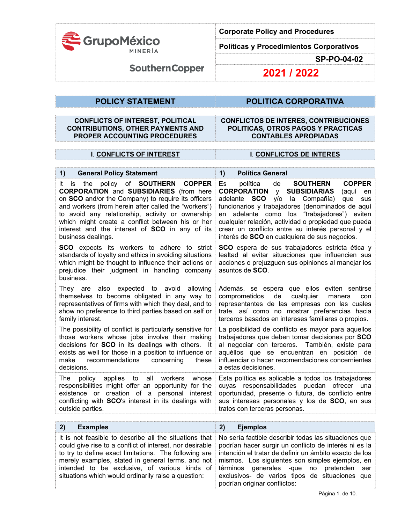

**Políticas y Procedimientos Corporativos** 

**SP-PO-04-02** 

**SouthernCopper** 

**2021 / 2022**

## **POLICY STATEMENT POLITICA CORPORATIVA**

## **CONFLICTS OF INTEREST, POLITICAL CONTRIBUTIONS, OTHER PAYMENTS AND PROPER ACCOUNTING PROCEDURES**

### **CONFLICTOS DE INTERES, CONTRIBUCIONES POLITICAS, OTROS PAGOS Y PRACTICAS CONTABLES APROPIADAS**

## **I**. **CONFLICTS OF INTEREST I**. **CONFLICTOS DE INTERES**

| is the policy of <b>SOUTHERN COPPER</b><br>It<br><b>CORPORATION and SUBSIDIARIES (from here</b><br>on SCO and/or the Company) to require its officers<br>and workers (from herein after called the "workers")<br>to avoid any relationship, activity or ownership<br>which might create a conflict between his or her<br>interest and the interest of SCO in any of its<br>business dealings. | <b>COPPER</b><br>política<br>de<br><b>SOUTHERN</b><br>Es<br><b>CORPORATION</b><br><b>SUBSIDIARIAS</b><br>V<br>(aquí<br>en<br>la Compañía)<br>adelante <b>SCO</b><br>y/o<br>que<br>sus<br>funcionarios y trabajadores (denominados de aquí<br>en adelante como los "trabajadores") eviten<br>cualquier relación, actividad o propiedad que pueda<br>crear un conflicto entre su interés personal y el<br>interés de SCO en cualquiera de sus negocios. |
|-----------------------------------------------------------------------------------------------------------------------------------------------------------------------------------------------------------------------------------------------------------------------------------------------------------------------------------------------------------------------------------------------|-------------------------------------------------------------------------------------------------------------------------------------------------------------------------------------------------------------------------------------------------------------------------------------------------------------------------------------------------------------------------------------------------------------------------------------------------------|
| <b>SCO</b> expects its workers to adhere to strict<br>standards of loyalty and ethics in avoiding situations<br>which might be thought to influence their actions or<br>prejudice their judgment in handling company<br>business.                                                                                                                                                             | SCO espera de sus trabajadores estricta ética y<br>lealtad al evitar situaciones que influencien sus<br>acciones o prejuzguen sus opiniones al manejar los<br>asuntos de SCO.                                                                                                                                                                                                                                                                         |
| They are also expected to avoid allowing<br>themselves to become obligated in any way to<br>representatives of firms with which they deal, and to<br>show no preference to third parties based on self or<br>family interest.                                                                                                                                                                 | Además, se espera que ellos eviten sentirse<br>de<br>cualquier<br>comprometidos<br>manera<br>con<br>representantes de las empresas con las cuales<br>trate, así como no mostrar preferencias hacia<br>terceros basados en intereses familiares o propios.                                                                                                                                                                                             |
| The possibility of conflict is particularly sensitive for<br>those workers whose jobs involve their making<br>decisions for SCO in its dealings with others. It<br>exists as well for those in a position to influence or<br>recommendations<br>concerning<br>make<br>these<br>decisions.                                                                                                     | La posibilidad de conflicto es mayor para aquellos<br>trabajadores que deben tomar decisiones por SCO<br>al negociar con terceros. También, existe para<br>aquéllos que se encuentran en posición de<br>influenciar o hacer recomendaciones concernientes<br>a estas decisiones.                                                                                                                                                                      |
| all<br>The<br>policy<br>applies to<br>workers<br>whose<br>responsibilities might offer an opportunity for the<br>existence or creation of a personal interest<br>conflicting with SCO's interest in its dealings with<br>outside parties.                                                                                                                                                     | Esta política es aplicable a todos los trabajadores<br>cuyas responsabilidades puedan ofrecer una<br>oportunidad, presente o futura, de conflicto entre<br>sus intereses personales y los de SCO, en sus<br>tratos con terceras personas.                                                                                                                                                                                                             |
| 2)<br><b>Examples</b>                                                                                                                                                                                                                                                                                                                                                                         | 2)<br><b>Ejemplos</b>                                                                                                                                                                                                                                                                                                                                                                                                                                 |

| 2)<br><b>Examples</b>                                                                                                                                                                                                                                                                                                                                                                                                                                                                                          | <b>E</b> iemplos                                                                                                                                                         |
|----------------------------------------------------------------------------------------------------------------------------------------------------------------------------------------------------------------------------------------------------------------------------------------------------------------------------------------------------------------------------------------------------------------------------------------------------------------------------------------------------------------|--------------------------------------------------------------------------------------------------------------------------------------------------------------------------|
| It is not feasible to describe all the situations that No seria factible describir todas las situaciones que<br>could give rise to a conflict of interest, nor desirable   podrían hacer surgir un conflicto de interés ni es la<br>to try to define exact limitations. The following are intención el tratar de definir un ámbito exacto de los<br>merely examples, stated in general terms, and not   mismos. Los siguientes son simples ejemplos, en<br>situations which would ordinarily raise a question: | intended to be exclusive, of various kinds of términos generales -que no pretenden ser<br>exclusivos- de varios tipos de situaciones que<br>podrían originar conflictos: |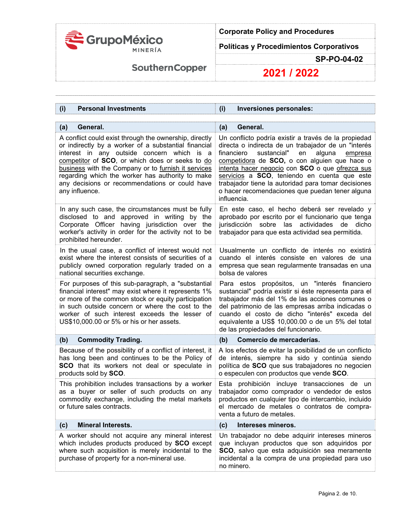

**Políticas y Procedimientos Corporativos** 

**SP-PO-04-02** 

# **SouthernCopper**

| <b>Personal Investments</b>                                                                                                                                                                                                                                                                                                                                                                    | (i)                                                                                                                                                                                                                                                                                                                                                                                                                                             |
|------------------------------------------------------------------------------------------------------------------------------------------------------------------------------------------------------------------------------------------------------------------------------------------------------------------------------------------------------------------------------------------------|-------------------------------------------------------------------------------------------------------------------------------------------------------------------------------------------------------------------------------------------------------------------------------------------------------------------------------------------------------------------------------------------------------------------------------------------------|
| (i)                                                                                                                                                                                                                                                                                                                                                                                            | Inversiones personales:                                                                                                                                                                                                                                                                                                                                                                                                                         |
| General.                                                                                                                                                                                                                                                                                                                                                                                       | General.                                                                                                                                                                                                                                                                                                                                                                                                                                        |
| (a)                                                                                                                                                                                                                                                                                                                                                                                            | (a)                                                                                                                                                                                                                                                                                                                                                                                                                                             |
| A conflict could exist through the ownership, directly<br>or indirectly by a worker of a substantial financial<br>interest in any outside concern which is a<br>competitor of SCO, or which does or seeks to do<br>business with the Company or to furnish it services<br>regarding which the worker has authority to make<br>any decisions or recommendations or could have<br>any influence. | Un conflicto podría existir a través de la propiedad<br>directa o indirecta de un trabajador de un "interés<br>sustancial"<br>alguna<br>financiero<br>en<br>empresa<br>competidora de SCO, o con alguien que hace o<br>intenta hacer negocio con SCO o que ofrezca sus<br>servicios a SCO, teniendo en cuenta que este<br>trabajador tiene la autoridad para tomar decisiones<br>o hacer recomendaciones que puedan tener alguna<br>influencia. |
| In any such case, the circumstances must be fully                                                                                                                                                                                                                                                                                                                                              | En este caso, el hecho deberá ser revelado y                                                                                                                                                                                                                                                                                                                                                                                                    |
| disclosed to and approved in writing by the                                                                                                                                                                                                                                                                                                                                                    | aprobado por escrito por el funcionario que tenga                                                                                                                                                                                                                                                                                                                                                                                               |
| Corporate Officer having jurisdiction over the                                                                                                                                                                                                                                                                                                                                                 | jurisdicción sobre las actividades                                                                                                                                                                                                                                                                                                                                                                                                              |
| worker's activity in order for the activity not to be                                                                                                                                                                                                                                                                                                                                          | de dicho                                                                                                                                                                                                                                                                                                                                                                                                                                        |
| prohibited hereunder.                                                                                                                                                                                                                                                                                                                                                                          | trabajador para que esta actividad sea permitida.                                                                                                                                                                                                                                                                                                                                                                                               |
| In the usual case, a conflict of interest would not                                                                                                                                                                                                                                                                                                                                            | Usualmente un conflicto de interés no existirá                                                                                                                                                                                                                                                                                                                                                                                                  |
| exist where the interest consists of securities of a                                                                                                                                                                                                                                                                                                                                           | cuando el interés consiste en valores de una                                                                                                                                                                                                                                                                                                                                                                                                    |
| publicly owned corporation regularly traded on a                                                                                                                                                                                                                                                                                                                                               | empresa que sean regularmente transadas en una                                                                                                                                                                                                                                                                                                                                                                                                  |
| national securities exchange.                                                                                                                                                                                                                                                                                                                                                                  | bolsa de valores                                                                                                                                                                                                                                                                                                                                                                                                                                |
| For purposes of this sub-paragraph, a "substantial<br>financial interest" may exist where it represents 1%<br>or more of the common stock or equity participation<br>in such outside concern or where the cost to the<br>worker of such interest exceeds the lesser of<br>US\$10,000.00 or 5% or his or her assets.                                                                            | Para estos propósitos, un "interés financiero<br>sustancial" podría existir si éste representa para el<br>trabajador más del 1% de las acciones comunes o<br>del patrimonio de las empresas arriba indicadas o<br>cuando el costo de dicho "interés" exceda del<br>equivalente a US\$ 10,000.00 o de un 5% del total<br>de las propiedades del funcionario.                                                                                     |
| (b)                                                                                                                                                                                                                                                                                                                                                                                            | (b)                                                                                                                                                                                                                                                                                                                                                                                                                                             |
| <b>Commodity Trading.</b>                                                                                                                                                                                                                                                                                                                                                                      | Comercio de mercaderías.                                                                                                                                                                                                                                                                                                                                                                                                                        |
| Because of the possibility of a conflict of interest, it                                                                                                                                                                                                                                                                                                                                       | A los efectos de evitar la posibilidad de un conflicto                                                                                                                                                                                                                                                                                                                                                                                          |
| has long been and continues to be the Policy of                                                                                                                                                                                                                                                                                                                                                | de interés, siempre ha sido y continúa siendo                                                                                                                                                                                                                                                                                                                                                                                                   |
| SCO that its workers not deal or speculate in                                                                                                                                                                                                                                                                                                                                                  | política de SCO que sus trabajadores no negocien                                                                                                                                                                                                                                                                                                                                                                                                |
| products sold by SCO.                                                                                                                                                                                                                                                                                                                                                                          | o especulen con productos que vende SCO.                                                                                                                                                                                                                                                                                                                                                                                                        |
| This prohibition includes transactions by a worker<br>as a buyer or seller of such products on any<br>commodity exchange, including the metal markets<br>or future sales contracts.                                                                                                                                                                                                            | Esta prohibición incluye transacciones de un<br>trabajador como comprador o vendedor de estos<br>productos en cualquier tipo de intercambio, incluido<br>el mercado de metales o contratos de compra-<br>venta a futuro de metales.                                                                                                                                                                                                             |
| <b>Mineral Interests.</b>                                                                                                                                                                                                                                                                                                                                                                      | Intereses mineros.                                                                                                                                                                                                                                                                                                                                                                                                                              |
| (c)                                                                                                                                                                                                                                                                                                                                                                                            | (c)                                                                                                                                                                                                                                                                                                                                                                                                                                             |
| A worker should not acquire any mineral interest<br>which includes products produced by SCO except<br>where such acquisition is merely incidental to the<br>purchase of property for a non-mineral use.                                                                                                                                                                                        | Un trabajador no debe adquirir intereses mineros<br>que incluyan productos que son adquiridos por<br>SCO, salvo que esta adquisición sea meramente<br>incidental a la compra de una propiedad para uso<br>no minero.                                                                                                                                                                                                                            |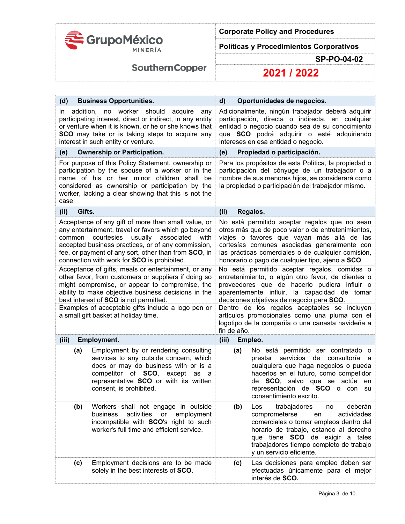

**Políticas y Procedimientos Corporativos** 

**SP-PO-04-02** 

**SouthernCopper** 

| (d)              | <b>Business Opportunities.</b>                                                                                                                                                                                                                                                                                      | d)                                                                                                                                                                                                               | Oportunidades de negocios.                                                                                                                                                                                                                                                                                  |
|------------------|---------------------------------------------------------------------------------------------------------------------------------------------------------------------------------------------------------------------------------------------------------------------------------------------------------------------|------------------------------------------------------------------------------------------------------------------------------------------------------------------------------------------------------------------|-------------------------------------------------------------------------------------------------------------------------------------------------------------------------------------------------------------------------------------------------------------------------------------------------------------|
| addition,<br>In. | no worker should<br>acquire<br>any<br>participating interest, direct or indirect, in any entity<br>or venture when it is known, or he or she knows that<br><b>SCO</b> may take or is taking steps to acquire any<br>interest in such entity or venture.                                                             |                                                                                                                                                                                                                  | Adicionalmente, ningún trabajador deberá adquirir<br>participación, directa o indirecta, en cualquier<br>entidad o negocio cuando sea de su conocimiento<br>que SCO podrá adquirir o esté adquiriendo<br>intereses en esa entidad o negocio.                                                                |
| (e)              | <b>Ownership or Participation.</b>                                                                                                                                                                                                                                                                                  | (e)                                                                                                                                                                                                              | Propiedad o participación.                                                                                                                                                                                                                                                                                  |
| case.            | For purpose of this Policy Statement, ownership or<br>participation by the spouse of a worker or in the<br>name of his or her minor children shall be<br>considered as ownership or participation by the<br>worker, lacking a clear showing that this is not the                                                    | Para los propósitos de esta Política, la propiedad o<br>participación del cónyuge de un trabajador o a<br>nombre de sus menores hijos, se considerará como<br>la propiedad o participación del trabajador mismo. |                                                                                                                                                                                                                                                                                                             |
| Gifts.<br>(ii)   |                                                                                                                                                                                                                                                                                                                     | (ii)                                                                                                                                                                                                             | Regalos.                                                                                                                                                                                                                                                                                                    |
| common           | Acceptance of any gift of more than small value, or<br>any entertainment, travel or favors which go beyond<br>courtesies<br>usually associated<br>with<br>accepted business practices, or of any commission,<br>fee, or payment of any sort, other than from SCO, in<br>connection with work for SCO is prohibited. |                                                                                                                                                                                                                  | No está permitido aceptar regalos que no sean<br>otros más que de poco valor o de entretenimientos,<br>viajes o favores que vayan más allá de las<br>cortesías comunes asociadas generalmente con<br>las prácticas comerciales o de cualquier comisión,<br>honorario o pago de cualquier tipo, ajeno a SCO. |
|                  | Acceptance of gifts, meals or entertainment, or any<br>other favor, from customers or suppliers if doing so<br>might compromise, or appear to compromise, the<br>ability to make objective business decisions in the<br>best interest of SCO is not permitted.                                                      |                                                                                                                                                                                                                  | No está permitido aceptar regalos, comidas o<br>entretenimiento, o algún otro favor, de clientes o<br>proveedores que de hacerlo pudiera influir o<br>aparentemente influir, la capacidad de tomar<br>decisiones objetivas de negocio para SCO.                                                             |
|                  | Examples of acceptable gifts include a logo pen or<br>a small gift basket at holiday time.                                                                                                                                                                                                                          | fin de año.                                                                                                                                                                                                      | Dentro de los regalos aceptables se incluyen<br>artículos promocionales como una pluma con el<br>logotipo de la compañía o una canasta navideña a                                                                                                                                                           |
| (iii)            | <b>Employment.</b>                                                                                                                                                                                                                                                                                                  | (iii)                                                                                                                                                                                                            | Empleo.                                                                                                                                                                                                                                                                                                     |
| (a)              | Employment by or rendering consulting<br>services to any outside concern, which<br>does or may do business with or is a<br>competitor of SCO,<br>except<br>as<br>a<br>representative SCO or with its written<br>consent, is prohibited.                                                                             | (a)                                                                                                                                                                                                              | No está permitido ser contratado o<br>servicios<br>de<br>consultoría<br>prestar<br>a<br>cualquiera que haga negocios o pueda<br>hacerlos en el futuro, como competidor<br>de SCO, salvo que se actúe<br>en<br>representación de SCO o<br>con<br>su<br>consentimiento escrito.                               |
| (b)              | Workers shall not engage in outside<br>activities<br>or<br>employment<br>business<br>incompatible with SCO's right to such<br>worker's full time and efficient service.                                                                                                                                             | (b)                                                                                                                                                                                                              | trabajadores<br>deberán<br>Los<br>no<br>actividades<br>comprometerse<br>en<br>comerciales o tomar empleos dentro del<br>horario de trabajo, estando al derecho<br>que tiene SCO de exigir a tales<br>trabajadores tiempo completo de trabajo<br>y un servicio eficiente.                                    |
| (c)              | Employment decisions are to be made<br>solely in the best interests of SCO.                                                                                                                                                                                                                                         | (c)                                                                                                                                                                                                              | Las decisiones para empleo deben ser<br>efectuadas únicamente para el mejor<br>interés de SCO.                                                                                                                                                                                                              |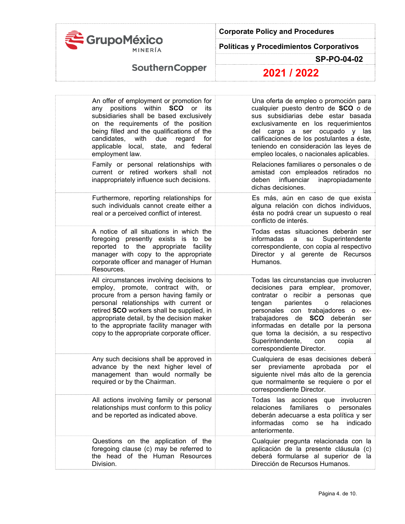

**Políticas y Procedimientos Corporativos** 

**SP-PO-04-02** 

# **SouthernCopper**

| An offer of employment or promotion for<br>any positions within <b>SCO</b> or its<br>subsidiaries shall be based exclusively<br>on the requirements of the position<br>being filled and the qualifications of the<br>candidates, with due regard for<br>applicable local, state, and federal<br>employment law.                                        | Una oferta de empleo o promoción para<br>cualquier puesto dentro de SCO o de<br>sus subsidiarias debe estar basada<br>exclusivamente en los requerimientos<br>del cargo a ser ocupado y las<br>calificaciones de los postulantes a éste,<br>teniendo en consideración las leyes de<br>empleo locales, o nacionales aplicables.                                                                   |
|--------------------------------------------------------------------------------------------------------------------------------------------------------------------------------------------------------------------------------------------------------------------------------------------------------------------------------------------------------|--------------------------------------------------------------------------------------------------------------------------------------------------------------------------------------------------------------------------------------------------------------------------------------------------------------------------------------------------------------------------------------------------|
| Family or personal relationships with<br>current or retired workers shall not<br>inappropriately influence such decisions.                                                                                                                                                                                                                             | Relaciones familiares o personales o de<br>amistad con empleados retirados no<br>influenciar<br>deben<br>inapropiadamente<br>dichas decisiones.                                                                                                                                                                                                                                                  |
| Furthermore, reporting relationships for<br>such individuals cannot create either a<br>real or a perceived conflict of interest.                                                                                                                                                                                                                       | Es más, aún en caso de que exista<br>alguna relación con dichos individuos,<br>ésta no podrá crear un supuesto o real<br>conflicto de interés.                                                                                                                                                                                                                                                   |
| A notice of all situations in which the<br>foregoing presently exists is to be<br>reported to the appropriate facility<br>manager with copy to the appropriate<br>corporate officer and manager of Human<br>Resources.                                                                                                                                 | Todas estas situaciones deberán ser<br>Superintendente<br>informadas<br>su<br>a<br>correspondiente, con copia al respectivo<br>Director y al gerente de Recursos<br>Humanos.                                                                                                                                                                                                                     |
| All circumstances involving decisions to<br>employ, promote, contract with, or<br>procure from a person having family or<br>personal relationships with current or<br>retired SCO workers shall be supplied, in<br>appropriate detail, by the decision maker<br>to the appropriate facility manager with<br>copy to the appropriate corporate officer. | Todas las circunstancias que involucren<br>decisiones para emplear, promover,<br>contratar o recibir a personas que<br>parientes<br>tengan<br>relaciones<br>o<br>personales con trabajadores o ex-<br>trabajadores de SCO deberán<br>ser<br>informadas en detalle por la persona<br>que toma la decisión, a su respectivo<br>Superintendente,<br>con<br>copia<br>al<br>correspondiente Director. |
| Any such decisions shall be approved in<br>advance by the next higher level of<br>management than would normally be<br>required or by the Chairman.                                                                                                                                                                                                    | Cualquiera de esas decisiones deberá<br>ser previamente<br>aprobada<br>por el<br>siguiente nivel más alto de la gerencia<br>que normalmente se requiere o por el<br>correspondiente Director.                                                                                                                                                                                                    |
| All actions involving family or personal<br>relationships must conform to this policy<br>and be reported as indicated above.                                                                                                                                                                                                                           | Todas las acciones que involucren<br>familiares<br>relaciones<br>$\overline{O}$<br>personales<br>deberán adecuarse a esta política y ser<br>informadas como<br>se<br>ha<br>indicado<br>anteriormente.                                                                                                                                                                                            |
| Questions on the application of the<br>foregoing clause (c) may be referred to<br>the head of the Human Resources<br>Division.                                                                                                                                                                                                                         | Cualquier pregunta relacionada con la<br>aplicación de la presente cláusula (c)<br>deberá formularse al superior de la<br>Dirección de Recursos Humanos.                                                                                                                                                                                                                                         |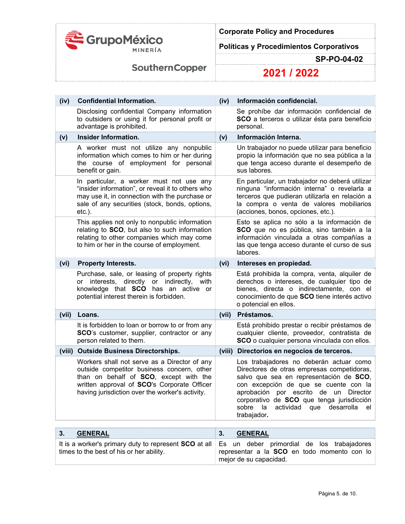

**Políticas y Procedimientos Corporativos** 

**SP-PO-04-02** 

**SouthernCopper** 

| (iv)   | <b>Confidential Information.</b>                                                                                                                                                                                                       |        | Información confidencial.                                                                                                                                                                                                                                                                                                             |  |
|--------|----------------------------------------------------------------------------------------------------------------------------------------------------------------------------------------------------------------------------------------|--------|---------------------------------------------------------------------------------------------------------------------------------------------------------------------------------------------------------------------------------------------------------------------------------------------------------------------------------------|--|
|        | Disclosing confidential Company information<br>to outsiders or using it for personal profit or<br>advantage is prohibited.                                                                                                             |        | Se prohíbe dar información confidencial de<br>SCO a terceros o utilizar ésta para beneficio<br>personal.                                                                                                                                                                                                                              |  |
| (v)    | <b>Insider Information.</b>                                                                                                                                                                                                            | (v)    | Información Interna.                                                                                                                                                                                                                                                                                                                  |  |
|        | A worker must not utilize any nonpublic<br>information which comes to him or her during<br>the course of employment for personal<br>benefit or gain.                                                                                   |        | Un trabajador no puede utilizar para beneficio<br>propio la información que no sea pública a la<br>que tenga acceso durante el desempeño de<br>sus labores.                                                                                                                                                                           |  |
|        | In particular, a worker must not use any<br>"insider information", or reveal it to others who<br>may use it, in connection with the purchase or<br>sale of any securities (stock, bonds, options,<br>$etc.$ ).                         |        | En particular, un trabajador no deberá utilizar<br>ninguna "información interna" o revelarla a<br>terceros que pudieran utilizarla en relación a<br>la compra o venta de valores mobiliarios<br>(acciones, bonos, opciones, etc.).                                                                                                    |  |
|        | This applies not only to nonpublic information<br>relating to SCO, but also to such information<br>relating to other companies which may come<br>to him or her in the course of employment.                                            |        | Esto se aplica no sólo a la información de<br>SCO que no es pública, sino también a la<br>información vinculada a otras compañías a<br>las que tenga acceso durante el curso de sus<br>labores.                                                                                                                                       |  |
| (vi)   | <b>Property Interests.</b>                                                                                                                                                                                                             | (vi)   | Intereses en propiedad.                                                                                                                                                                                                                                                                                                               |  |
|        | Purchase, sale, or leasing of property rights<br>or interests, directly or indirectly,<br>with<br>knowledge that SCO has an active or<br>potential interest therein is forbidden.                                                      |        | Está prohibida la compra, venta, alquiler de<br>derechos o intereses, de cualquier tipo de<br>bienes, directa o indirectamente, con el<br>conocimiento de que SCO tiene interés activo<br>o potencial en ellos.                                                                                                                       |  |
| (vii)  | Loans.                                                                                                                                                                                                                                 | (vii)  | Préstamos.                                                                                                                                                                                                                                                                                                                            |  |
|        | It is forbidden to loan or borrow to or from any<br>SCO's customer, supplier, contractor or any<br>person related to them.                                                                                                             |        | Está prohibido prestar o recibir préstamos de<br>cualquier cliente, proveedor, contratista de<br>SCO o cualquier persona vinculada con ellos.                                                                                                                                                                                         |  |
| (viii) | <b>Outside Business Directorships.</b>                                                                                                                                                                                                 | (viii) | Directorios en negocios de terceros.                                                                                                                                                                                                                                                                                                  |  |
|        | Workers shall not serve as a Director of any<br>outside competitor business concern, other<br>than on behalf of SCO, except with the<br>written approval of SCO's Corporate Officer<br>having jurisdiction over the worker's activity. |        | Los trabajadores no deberán actuar como<br>Directores de otras empresas competidoras,<br>salvo que sea en representación de SCO,<br>con excepción de que se cuente con la<br>aprobación por escrito de un Director<br>corporativo de SCO que tenga jurisdicción<br>sobre<br>la<br>actividad<br>desarrolla<br>que<br>el<br>trabajador. |  |

| 3.<br><b>GENERAL</b>                     | <b>GENERAL</b>                                                                                          |
|------------------------------------------|---------------------------------------------------------------------------------------------------------|
|                                          | It is a worker's primary duty to represent <b>SCO</b> at all Es un deber primordial de los trabajadores |
| times to the best of his or her ability. | representar a la SCO en todo momento con lo                                                             |
|                                          | mejor de su capacidad.                                                                                  |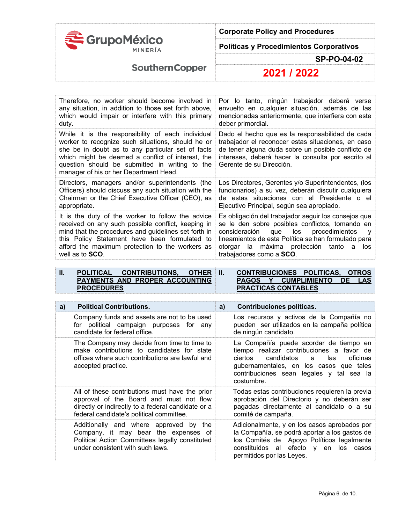

**Políticas y Procedimientos Corporativos** 

**SP-PO-04-02** 

**SouthernCopper** 

**2021 / 2022**

| Therefore, no worker should become involved in                                                                                                                                                                                                                                                               | Por lo tanto, ningún trabajador deberá verse                                                                                                                                                                                                                                              |
|--------------------------------------------------------------------------------------------------------------------------------------------------------------------------------------------------------------------------------------------------------------------------------------------------------------|-------------------------------------------------------------------------------------------------------------------------------------------------------------------------------------------------------------------------------------------------------------------------------------------|
| any situation, in addition to those set forth above,                                                                                                                                                                                                                                                         | envuelto en cualquier situación, además de las                                                                                                                                                                                                                                            |
| which would impair or interfere with this primary                                                                                                                                                                                                                                                            | mencionadas anteriormente, que interfiera con este                                                                                                                                                                                                                                        |
| duty.                                                                                                                                                                                                                                                                                                        | deber primordial.                                                                                                                                                                                                                                                                         |
| While it is the responsibility of each individual<br>worker to recognize such situations, should he or<br>she be in doubt as to any particular set of facts<br>which might be deemed a conflict of interest, the<br>question should be submitted in writing to the<br>manager of his or her Department Head. | Dado el hecho que es la responsabilidad de cada<br>trabajador el reconocer estas situaciones, en caso<br>de tener alguna duda sobre un posible conflicto de<br>intereses, deberá hacer la consulta por escrito al<br>Gerente de su Dirección.                                             |
| Directors, managers and/or superintendents (the                                                                                                                                                                                                                                                              | Los Directores, Gerentes y/o Superintendentes, (los                                                                                                                                                                                                                                       |
| Officers) should discuss any such situation with the                                                                                                                                                                                                                                                         | funcionarios) a su vez, deberán discutir cualquiera                                                                                                                                                                                                                                       |
| Chairman or the Chief Executive Officer (CEO), as                                                                                                                                                                                                                                                            | de estas situaciones con el Presidente o el                                                                                                                                                                                                                                               |
| appropriate.                                                                                                                                                                                                                                                                                                 | Ejecutivo Principal, según sea apropiado.                                                                                                                                                                                                                                                 |
| It is the duty of the worker to follow the advice<br>received on any such possible conflict, keeping in<br>mind that the procedures and guidelines set forth in<br>this Policy Statement have been formulated to<br>afford the maximum protection to the workers as<br>well as to <b>SCO</b> .               | Es obligación del trabajador seguir los consejos que<br>se le den sobre posibles conflictos, tomando en<br>consideración<br>que los procedimientos<br>v<br>lineamientos de esta Política se han formulado para<br>otorgar la máxima protección tanto a<br>los<br>trabajadores como a SCO. |

| <b>POLITICAL</b>               | <b>CONTRIBUTIONS, OTHER</b> |  |
|--------------------------------|-----------------------------|--|
| PAYMENTS AND PROPER ACCOUNTING |                             |  |
| <b>PROCEDURES</b>              |                             |  |

**II. CONTRIBUCIONES POLITICAS, OTROS PAGOS Y CUMPLIMIENTO DE LAS PRACTICAS CONTABLES** 

| <b>Political Contributions.</b>                                                                                                                                    | Contribuciones políticas.                                                                                                                                                                                                                 |
|--------------------------------------------------------------------------------------------------------------------------------------------------------------------|-------------------------------------------------------------------------------------------------------------------------------------------------------------------------------------------------------------------------------------------|
| a)                                                                                                                                                                 | a)                                                                                                                                                                                                                                        |
| Company funds and assets are not to be used                                                                                                                        | Los recursos y activos de la Compañía no                                                                                                                                                                                                  |
| for political campaign purposes for any                                                                                                                            | pueden ser utilizados en la campaña política                                                                                                                                                                                              |
| candidate for federal office.                                                                                                                                      | de ningún candidato.                                                                                                                                                                                                                      |
| The Company may decide from time to time to<br>make contributions to candidates for state<br>offices where such contributions are lawful and<br>accepted practice. | La Compañía puede acordar de tiempo en<br>tiempo realizar contribuciones a favor de<br>candidatos<br>ciertos<br>las<br>oficinas<br>a<br>gubernamentales, en los casos que tales<br>contribuciones sean legales y tal sea la<br>costumbre. |
| All of these contributions must have the prior                                                                                                                     | Todas estas contribuciones requieren la previa                                                                                                                                                                                            |
| approval of the Board and must not flow                                                                                                                            | aprobación del Directorio y no deberán ser                                                                                                                                                                                                |
| directly or indirectly to a federal candidate or a                                                                                                                 | pagadas directamente al candidato o a su                                                                                                                                                                                                  |
| federal candidate's political committee.                                                                                                                           | comité de campaña.                                                                                                                                                                                                                        |
| Additionally and where approved by                                                                                                                                 | Adicionalmente, y en los casos aprobados por                                                                                                                                                                                              |
| the                                                                                                                                                                | la Compañía, se podrá aportar a los gastos de                                                                                                                                                                                             |
| Company, it may bear the expenses of                                                                                                                               | los Comités de Apoyo Políticos legalmente                                                                                                                                                                                                 |
| Political Action Committees legally constituted                                                                                                                    | constituidos al efecto y en los casos                                                                                                                                                                                                     |
| under consistent with such laws.                                                                                                                                   | permitidos por las Leyes.                                                                                                                                                                                                                 |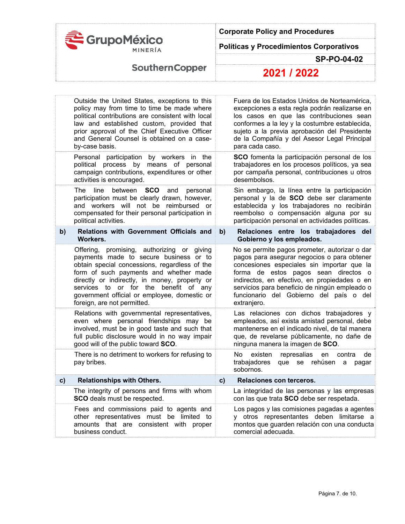

**Políticas y Procedimientos Corporativos** 

**SP-PO-04-02** 

# **SouthernCopper**

| Outside the United States, exceptions to this<br>policy may from time to time be made where<br>political contributions are consistent with local<br>law and established custom, provided that<br>prior approval of the Chief Executive Officer<br>and General Counsel is obtained on a case-<br>by-case basis.                                           |                                          | Fuera de los Estados Unidos de Norteamérica,<br>excepciones a esta regla podrán realizarse en<br>los casos en que las contribuciones sean<br>conformes a la ley y la costumbre establecida,<br>sujeto a la previa aprobación del Presidente<br>de la Compañía y del Asesor Legal Principal<br>para cada caso.                                 |
|----------------------------------------------------------------------------------------------------------------------------------------------------------------------------------------------------------------------------------------------------------------------------------------------------------------------------------------------------------|------------------------------------------|-----------------------------------------------------------------------------------------------------------------------------------------------------------------------------------------------------------------------------------------------------------------------------------------------------------------------------------------------|
| political process by means of personal<br>campaign contributions, expenditures or other<br>activities is encouraged.                                                                                                                                                                                                                                     |                                          | SCO fomenta la participación personal de los<br>trabajadores en los procesos políticos, ya sea<br>por campaña personal, contribuciones u otros<br>desembolsos.                                                                                                                                                                                |
| <b>SCO</b><br>The<br>line<br>between<br>and<br>personal<br>participation must be clearly drawn, however,<br>and workers will not be reimbursed or<br>compensated for their personal participation in<br>political activities.                                                                                                                            |                                          | Sin embargo, la línea entre la participación<br>personal y la de SCO debe ser claramente<br>establecida y los trabajadores no recibirán<br>reembolso o compensación alguna por su<br>participación personal en actividades políticas.                                                                                                         |
| <b>Relations with Government Officials and</b><br>Workers.                                                                                                                                                                                                                                                                                               | b)                                       | Relaciones entre los trabajadores del<br>Gobierno y los empleados.                                                                                                                                                                                                                                                                            |
| Offering, promising, authorizing or giving<br>payments made to secure business or to<br>obtain special concessions, regardless of the<br>form of such payments and whether made<br>directly or indirectly, in money, property or<br>services to or for the benefit of any<br>government official or employee, domestic or<br>foreign, are not permitted. |                                          | No se permite pagos prometer, autorizar o dar<br>pagos para asegurar negocios o para obtener<br>concesiones especiales sin importar que la<br>forma de estos pagos sean directos o<br>indirectos, en efectivo, en propiedades o en<br>servicios para beneficio de ningún empleado o<br>funcionario del Gobierno del país o del<br>extranjero. |
| Relations with governmental representatives,<br>even where personal friendships may be<br>involved, must be in good taste and such that<br>full public disclosure would in no way impair<br>good will of the public toward SCO.                                                                                                                          |                                          | Las relaciones con dichos trabajadores y<br>empleados, así exista amistad personal, debe<br>mantenerse en el indicado nivel, de tal manera<br>que, de revelarse públicamente, no dañe de<br>ninguna manera la imagen de SCO.                                                                                                                  |
| There is no detriment to workers for refusing to<br>pay bribes.                                                                                                                                                                                                                                                                                          |                                          | No<br>existen<br>represalias<br>contra<br>de<br>en<br>trabajadores<br>que se<br>rehúsen<br>a<br>pagar<br>sobornos.                                                                                                                                                                                                                            |
| <b>Relationships with Others.</b>                                                                                                                                                                                                                                                                                                                        | c)                                       | Relaciones con terceros.                                                                                                                                                                                                                                                                                                                      |
| The integrity of persons and firms with whom<br>SCO deals must be respected.                                                                                                                                                                                                                                                                             |                                          | La integridad de las personas y las empresas<br>con las que trata SCO debe ser respetada.                                                                                                                                                                                                                                                     |
| Fees and commissions paid to agents and<br>other representatives must be limited to<br>amounts that are consistent with proper<br>business conduct.                                                                                                                                                                                                      |                                          | Los pagos y las comisiones pagadas a agentes<br>y otros representantes deben limitarse a<br>montos que guarden relación con una conducta<br>comercial adecuada.                                                                                                                                                                               |
|                                                                                                                                                                                                                                                                                                                                                          | Personal participation by workers in the |                                                                                                                                                                                                                                                                                                                                               |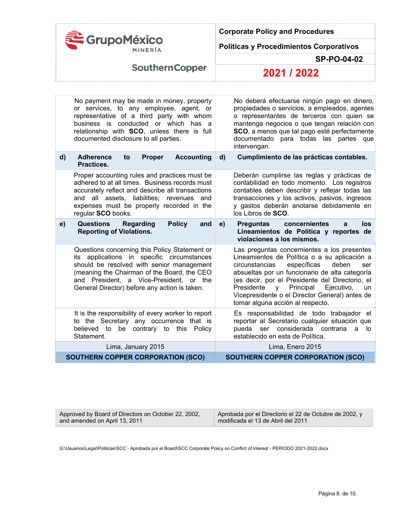

**Políticas y Procedimientos Corporativos** 

**SP-PO-04-02** 

**SouthernCopper** 

**2021 / 2022**

|              | No payment may be made in money, property<br>or services, to any employee, agent, or<br>representative of a third party with whom<br>business is conducted or which has a<br>relationship with SCO, unless there is full<br>documented disclosure to all parties.                   |              | No deberá efectuarse ningún pago en dinero,<br>propiedades o servicios, a empleados, agentes<br>o representantes de terceros con quien se<br>mantenga negocios o que tengan relación con<br>SCO, a menos que tal pago esté perfectamente<br>documentado para todas las partes que<br>intervengan.                                                                                                         |
|--------------|-------------------------------------------------------------------------------------------------------------------------------------------------------------------------------------------------------------------------------------------------------------------------------------|--------------|-----------------------------------------------------------------------------------------------------------------------------------------------------------------------------------------------------------------------------------------------------------------------------------------------------------------------------------------------------------------------------------------------------------|
| $\mathsf{d}$ | <b>Accounting</b><br><b>Adherence</b><br><b>Proper</b><br>to<br>Practices.                                                                                                                                                                                                          | $\mathbf{d}$ | Cumplimiento de las prácticas contables.                                                                                                                                                                                                                                                                                                                                                                  |
|              | Proper accounting rules and practices must be<br>adhered to at all times. Business records must<br>accurately reflect and describe all transactions<br>and all assets, liabilities; revenues and<br>expenses must be properly recorded in the<br>regular SCO books.                 |              | Deberán cumplirse las reglas y prácticas de<br>contabilidad en todo momento. Los registros<br>contables deben describir y reflejar todas las<br>transacciones y los activos, pasivos, ingresos<br>y gastos deberán anotarse debidamente en<br>los Libros de SCO.                                                                                                                                          |
| e)           | <b>Questions</b><br><b>Policy</b><br>Regarding<br>and<br><b>Reporting of Violations.</b>                                                                                                                                                                                            | e)           | concernientes<br><b>Preguntas</b><br>los<br>a<br>Lineamientos de Política y reportes de<br>violaciones a los mismos.                                                                                                                                                                                                                                                                                      |
|              | Questions concerning this Policy Statement or<br>its applications in specific circumstances<br>should be resolved with senior management<br>(meaning the Chairman of the Board, the CEO<br>and President, a Vice-President, or the<br>General Director) before any action is taken. |              | Las preguntas concernientes a los presentes<br>Lineamientos de Política o a su aplicación a<br>específicas<br>circunstancias<br>deben<br>ser<br>absueltas por un funcionario de alta categoría<br>(es decir, por el Presidente del Directorio, el<br>Principal<br>Ejecutivo,<br>Presidente<br><b>y</b><br><b>un</b><br>Vicepresidente o el Director General) antes de<br>tomar alguna acción al respecto. |
|              | It is the responsibility of every worker to report<br>to the Secretary any occurrence that is<br>be contrary to this Policy<br>believed to<br>Statement.                                                                                                                            |              | Es responsabilidad de todo trabajador el<br>reportar al Secretario cualquier situación que<br>ser considerada contraria<br>pueda<br>a<br>lo<br>establecido en esta de Política.                                                                                                                                                                                                                           |
|              | Lima, January 2015                                                                                                                                                                                                                                                                  |              | Lima, Enero 2015                                                                                                                                                                                                                                                                                                                                                                                          |
|              |                                                                                                                                                                                                                                                                                     |              |                                                                                                                                                                                                                                                                                                                                                                                                           |

Approved by Board of Directors on October 22, 2002, and amended on April 13, 2011

Aprobada por el Directorio el 22 de Octubre de 2002, y modificada el 13 de Abril del 2011

G:\Usuarios\Legal\Politicas\SCC - Aprobada por el Board\SCC Corporate Policy on Conflict of Interest - PERIODO 2021-2022.docx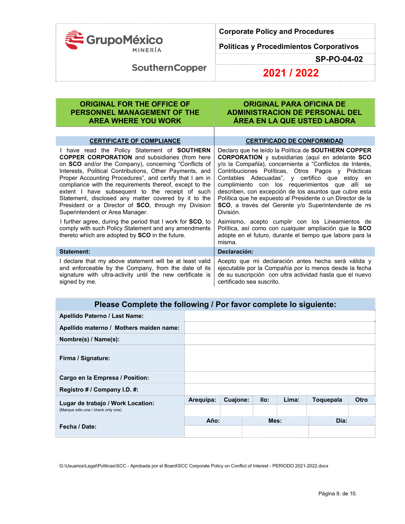

**Políticas y Procedimientos Corporativos** 

**SP-PO-04-02** 

## **SouthernCopper**

**2021 / 2022**

### **ORIGINAL FOR THE OFFICE OF PERSONNEL MANAGEMENT OF THE AREA WHERE YOU WORK ORIGINAL PARA OFICINA DE ADMINISTRACION DE PERSONAL DEL ÁREA EN LA QUE USTED LABORA**

### **CERTIFICATE OF COMPLIANCE CERTIFICADO DE CONFORMIDAD** I have read the Policy Statement of **SOUTHERN COPPER CORPORATION** and subsidiaries (from here on **SCO** and/or the Company), concerning "Conflicts of Interests, Political Contributions, Other Payments, and Proper Accounting Procedures", and certify that I am in compliance with the requirements thereof, except to the extent I have subsequent to the receipt of such Statement, disclosed any matter covered by it to the President or a Director of **SCO**, through my Division Superintendent or Area Manager. Declaro que he leído la Política de **SOUTHERN COPPER CORPORATION** y subsidiarias (aquí en adelante **SCO** y/o la Compañía), concerniente a "Conflictos de Interés, Contribuciones Políticas, Otros Pagos y Prácticas Contables Adecuadas", y certifico que estoy en cumplimiento con los requerimientos que allí se describen, con excepción de los asuntos que cubre esta Política que he expuesto al Presidente o un Director de la **SCO**, a través del Gerente y/o Superintendente de mi División. I further agree, during the period that I work for **SCO**, to comply with such Policy Statement and any amendments thereto which are adopted by **SCO** in the future. Asimismo, acepto cumplir con los Lineamientos de Política, así como con cualquier ampliación que la **SCO** adopte en el futuro, durante el tiempo que labore para la misma. **Statement: Declaración:**  I declare that my above statement will be at least valid and enforceable by the Company, from the date of its signature with ultra-activity until the new certificate is signed by me. Acepto que mi declaración antes hecha será válida y ejecutable por la Compañía por lo menos desde la fecha de su suscripción con ultra actividad hasta que el nuevo certificado sea suscrito.

| Please Complete the following / Por favor complete lo siguiente: |           |          |      |      |       |           |      |  |  |  |
|------------------------------------------------------------------|-----------|----------|------|------|-------|-----------|------|--|--|--|
| Apellido Paterno / Last Name:                                    |           |          |      |      |       |           |      |  |  |  |
| Apellido materno / Mothers maiden name:                          |           |          |      |      |       |           |      |  |  |  |
| Nombre(s) / Name(s):                                             |           |          |      |      |       |           |      |  |  |  |
| Firma / Signature:                                               |           |          |      |      |       |           |      |  |  |  |
| Cargo en la Empresa / Position:                                  |           |          |      |      |       |           |      |  |  |  |
| Registro # / Company I.D. #:                                     |           |          |      |      |       |           |      |  |  |  |
| Lugar de trabajo / Work Location:                                | Arequipa: | Cuajone: |      | llo: | Lima: | Toquepala | Otro |  |  |  |
| (Marque sólo una / check only one)                               |           |          |      |      |       |           |      |  |  |  |
| Fecha / Date:                                                    | Año:      |          | Mes: |      |       | Día:      |      |  |  |  |
|                                                                  |           |          |      |      |       |           |      |  |  |  |

G:\Usuarios\Legal\Politicas\SCC - Aprobada por el Board\SCC Corporate Policy on Conflict of Interest - PERIODO 2021-2022.docx